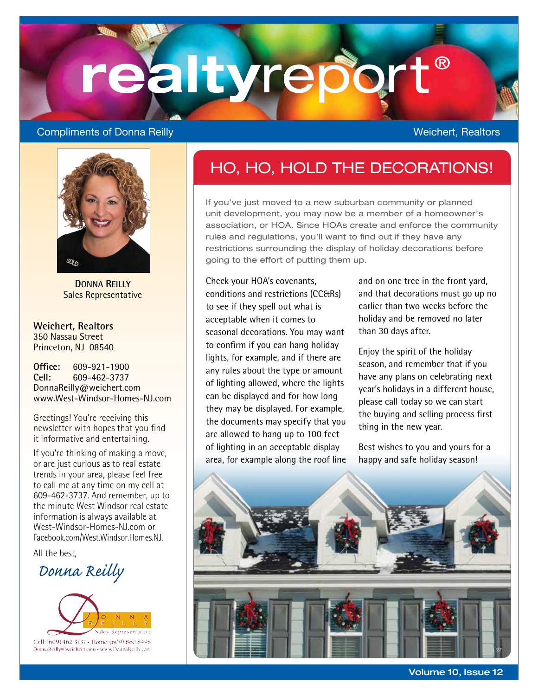# realtyrep

#### **Compliments of Donna Reilly Weichert, Realtors** Weichert, Realtors



**DONNA REILLY** Sales Representative

**Weichert, Realtors** 350 Nassau Street Princeton, NJ 08540

**Office:** 609-921-1900<br>Cell: 609-462-3737 **Cell:** 609-462-3737 DonnaReilly@weichert.com www.West-Windsor-Homes-NJ.com

Greetings! You're receiving this newsletter with hopes that you find it informative and entertaining.

If you're thinking of making a move, or are just curious as to real estate trends in your area, please feel free to call me at any time on my cell at 609-462-3737. And remember, up to the minute West Windsor real estate information is always available at West-Windsor-Homes-NJ.com or Facebook.com/West.Windsor.Homes.NJ.

All the best,

## *Donna Reilly*



### HO, HO, HOLD THE DECORATIONS!

If you've just moved to a new suburban community or planned unit development, you may now be a member of a homeowner's association, or HOA. Since HOAs create and enforce the community rules and regulations, you'll want to find out if they have any restrictions surrounding the display of holiday decorations before going to the effort of putting them up.

Check your HOA's covenants, conditions and restrictions (CC&Rs) to see if they spell out what is acceptable when it comes to seasonal decorations. You may want to confirm if you can hang holiday lights, for example, and if there are any rules about the type or amount of lighting allowed, where the lights can be displayed and for how long they may be displayed. For example, the documents may specify that you are allowed to hang up to 100 feet of lighting in an acceptable display area, for example along the roof line and on one tree in the front yard, and that decorations must go up no earlier than two weeks before the holiday and be removed no later than 30 days after.

Enjoy the spirit of the holiday season, and remember that if you have any plans on celebrating next year's holidays in a different house, please call today so we can start the buying and selling process first thing in the new year.

Best wishes to you and yours for a happy and safe holiday season!



**Volume 10, Issue 12**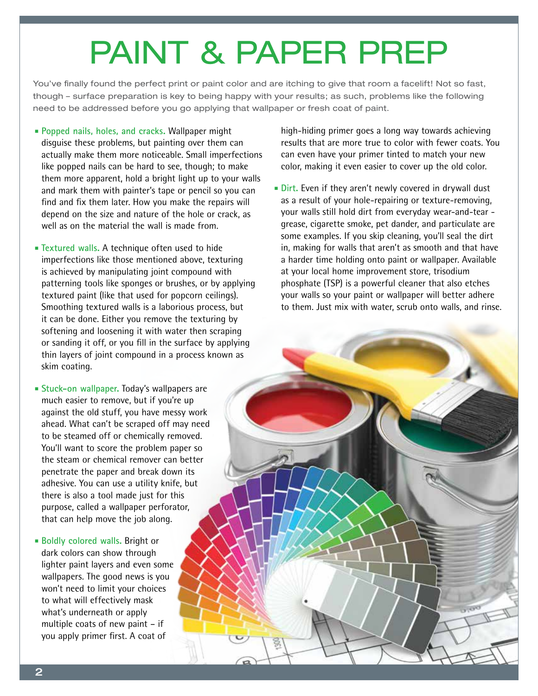# PAINT & PAPER PREP

You've finally found the perfect print or paint color and are itching to give that room a facelift! Not so fast, though – surface preparation is key to being happy with your results; as such, problems like the following need to be addressed before you go applying that wallpaper or fresh coat of paint.

- **Popped nails, holes, and cracks.** Wallpaper might disguise these problems, but painting over them can actually make them more noticeable. Small imperfections like popped nails can be hard to see, though; to make them more apparent, hold a bright light up to your walls and mark them with painter's tape or pencil so you can find and fix them later. How you make the repairs will depend on the size and nature of the hole or crack, as well as on the material the wall is made from.
- **Textured walls.** A technique often used to hide imperfections like those mentioned above, texturing is achieved by manipulating joint compound with patterning tools like sponges or brushes, or by applying textured paint (like that used for popcorn ceilings). Smoothing textured walls is a laborious process, but it can be done. Either you remove the texturing by softening and loosening it with water then scraping or sanding it off, or you fill in the surface by applying thin layers of joint compound in a process known as skim coating.
- **Stuck-on wallpaper.** Today's wallpapers are much easier to remove, but if you're up against the old stuff, you have messy work ahead. What can't be scraped off may need to be steamed off or chemically removed. You'll want to score the problem paper so the steam or chemical remover can better penetrate the paper and break down its adhesive. You can use a utility knife, but there is also a tool made just for this purpose, called a wallpaper perforator, that can help move the job along.
- **Boldly colored walls.** Bright or dark colors can show through lighter paint layers and even some wallpapers. The good news is you won't need to limit your choices to what will effectively mask what's underneath or apply multiple coats of new paint – if you apply primer first. A coat of

high-hiding primer goes a long way towards achieving results that are more true to color with fewer coats. You can even have your primer tinted to match your new color, making it even easier to cover up the old color.

**Dirt.** Even if they aren't newly covered in drywall dust as a result of your hole-repairing or texture-removing, your walls still hold dirt from everyday wear-and-tear grease, cigarette smoke, pet dander, and particulate are some examples. If you skip cleaning, you'll seal the dirt in, making for walls that aren't as smooth and that have a harder time holding onto paint or wallpaper. Available at your local home improvement store, trisodium phosphate (TSP) is a powerful cleaner that also etches your walls so your paint or wallpaper will better adhere to them. Just mix with water, scrub onto walls, and rinse.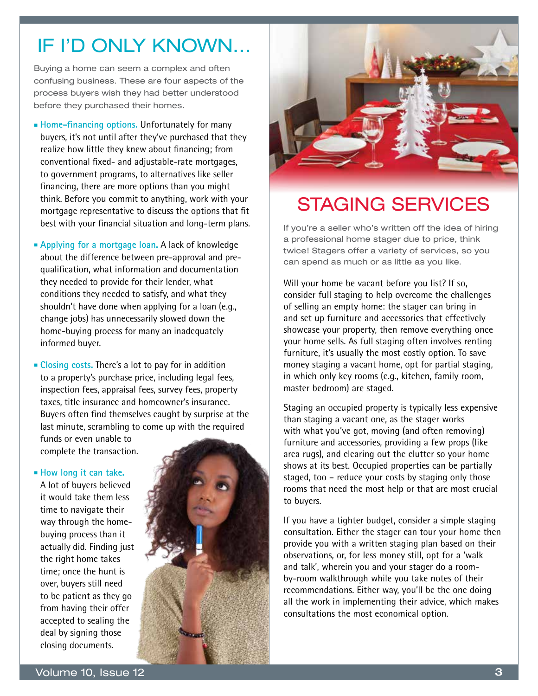## IF I'D ONLY KNOWN…

Buying a home can seem a complex and often confusing business. These are four aspects of the process buyers wish they had better understood before they purchased their homes.

 **Home-financing options.** Unfortunately for many buyers, it's not until after they've purchased that they realize how little they knew about financing; from conventional fixed- and adjustable-rate mortgages, to government programs, to alternatives like seller financing, there are more options than you might think. Before you commit to anything, work with your mortgage representative to discuss the options that fit best with your financial situation and long-term plans.

 **Applying for a mortgage loan.** A lack of knowledge about the difference between pre-approval and prequalification, what information and documentation they needed to provide for their lender, what conditions they needed to satisfy, and what they shouldn't have done when applying for a loan (e.g., change jobs) has unnecessarily slowed down the home-buying process for many an inadequately informed buyer.

 **Closing costs.** There's a lot to pay for in addition to a property's purchase price, including legal fees, inspection fees, appraisal fees, survey fees, property taxes, title insurance and homeowner's insurance. Buyers often find themselves caught by surprise at the last minute, scrambling to come up with the required

funds or even unable to complete the transaction.

#### **How long it can take.**

A lot of buyers believed it would take them less time to navigate their way through the homebuying process than it actually did. Finding just the right home takes time; once the hunt is over, buyers still need to be patient as they go from having their offer accepted to sealing the deal by signing those closing documents.





## STAGING SERVICES

If you're a seller who's written off the idea of hiring a professional home stager due to price, think twice! Stagers offer a variety of services, so you can spend as much or as little as you like.

Will your home be vacant before you list? If so, consider full staging to help overcome the challenges of selling an empty home: the stager can bring in and set up furniture and accessories that effectively showcase your property, then remove everything once your home sells. As full staging often involves renting furniture, it's usually the most costly option. To save money staging a vacant home, opt for partial staging, in which only key rooms (e.g., kitchen, family room, master bedroom) are staged.

Staging an occupied property is typically less expensive than staging a vacant one, as the stager works with what you've got, moving (and often removing) furniture and accessories, providing a few props (like area rugs), and clearing out the clutter so your home shows at its best. Occupied properties can be partially staged, too – reduce your costs by staging only those rooms that need the most help or that are most crucial to buyers.

If you have a tighter budget, consider a simple staging consultation. Either the stager can tour your home then provide you with a written staging plan based on their observations, or, for less money still, opt for a 'walk and talk', wherein you and your stager do a roomby-room walkthrough while you take notes of their recommendations. Either way, you'll be the one doing all the work in implementing their advice, which makes consultations the most economical option.